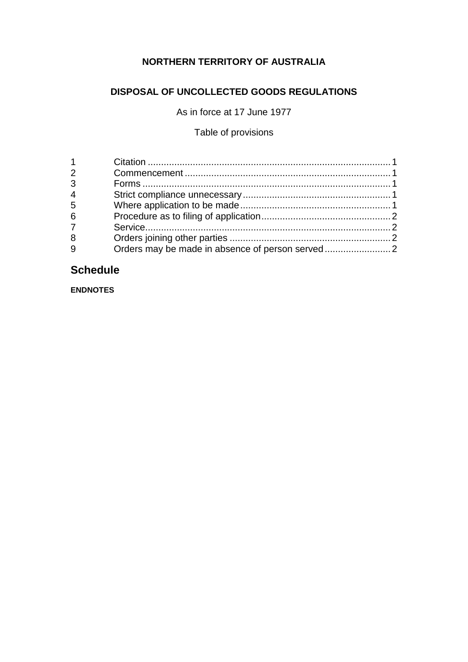# **NORTHERN TERRITORY OF AUSTRALIA**

# **DISPOSAL OF UNCOLLECTED GOODS REGULATIONS**

As in force at 17 June 1977

# Table of provisions

| 2              |  |
|----------------|--|
| 3              |  |
| $\overline{4}$ |  |
| 5              |  |
| 6              |  |
| $\overline{7}$ |  |
| 8              |  |
| 9              |  |

# **Schedule**

**ENDNOTES**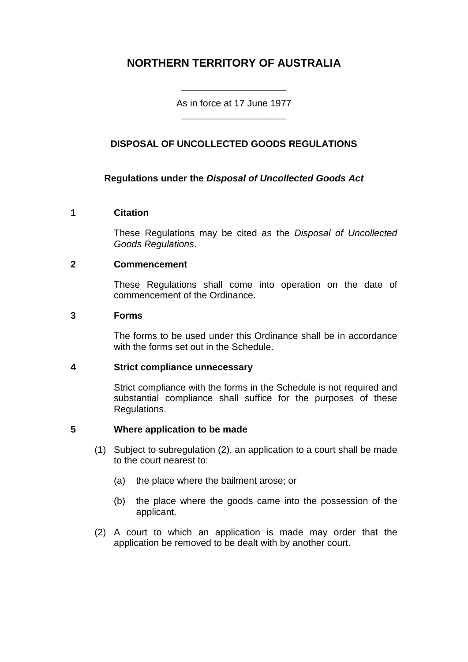# **NORTHERN TERRITORY OF AUSTRALIA**

As in force at 17 June 1977 \_\_\_\_\_\_\_\_\_\_\_\_\_\_\_\_\_\_\_\_

\_\_\_\_\_\_\_\_\_\_\_\_\_\_\_\_\_\_\_\_

## **DISPOSAL OF UNCOLLECTED GOODS REGULATIONS**

## **Regulations under the** *Disposal of Uncollected Goods Act*

### **1 Citation**

These Regulations may be cited as the *Disposal of Uncollected Goods Regulations*.

### **2 Commencement**

These Regulations shall come into operation on the date of commencement of the Ordinance.

#### **3 Forms**

The forms to be used under this Ordinance shall be in accordance with the forms set out in the Schedule.

### **4 Strict compliance unnecessary**

Strict compliance with the forms in the Schedule is not required and substantial compliance shall suffice for the purposes of these Regulations.

### **5 Where application to be made**

- (1) Subject to subregulation (2), an application to a court shall be made to the court nearest to:
	- (a) the place where the bailment arose; or
	- (b) the place where the goods came into the possession of the applicant.
- (2) A court to which an application is made may order that the application be removed to be dealt with by another court.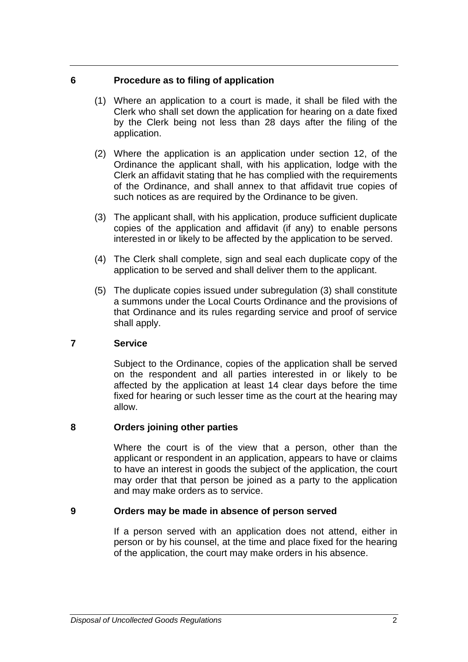### **6 Procedure as to filing of application**

- (1) Where an application to a court is made, it shall be filed with the Clerk who shall set down the application for hearing on a date fixed by the Clerk being not less than 28 days after the filing of the application.
- (2) Where the application is an application under section 12, of the Ordinance the applicant shall, with his application, lodge with the Clerk an affidavit stating that he has complied with the requirements of the Ordinance, and shall annex to that affidavit true copies of such notices as are required by the Ordinance to be given.
- (3) The applicant shall, with his application, produce sufficient duplicate copies of the application and affidavit (if any) to enable persons interested in or likely to be affected by the application to be served.
- (4) The Clerk shall complete, sign and seal each duplicate copy of the application to be served and shall deliver them to the applicant.
- (5) The duplicate copies issued under subregulation (3) shall constitute a summons under the Local Courts Ordinance and the provisions of that Ordinance and its rules regarding service and proof of service shall apply.

## **7 Service**

Subject to the Ordinance, copies of the application shall be served on the respondent and all parties interested in or likely to be affected by the application at least 14 clear days before the time fixed for hearing or such lesser time as the court at the hearing may allow.

## **8 Orders joining other parties**

Where the court is of the view that a person, other than the applicant or respondent in an application, appears to have or claims to have an interest in goods the subject of the application, the court may order that that person be joined as a party to the application and may make orders as to service.

### **9 Orders may be made in absence of person served**

If a person served with an application does not attend, either in person or by his counsel, at the time and place fixed for the hearing of the application, the court may make orders in his absence.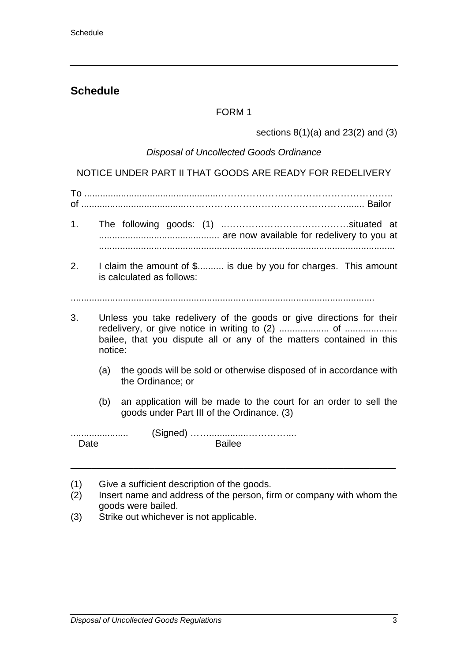# **Schedule**

## FORM 1

sections  $8(1)(a)$  and  $23(2)$  and  $(3)$ 

### *Disposal of Uncollected Goods Ordinance*

NOTICE UNDER PART II THAT GOODS ARE READY FOR REDELIVERY

To ...................................................……………………………………………….. of ........................................……………………………………………....... Bailor

- 1. The following goods: (1) ..…………………………………situated at .............................................. are now available for redelivery to you at .................................................................................................................
- 2. I claim the amount of \$.......... is due by you for charges. This amount is calculated as follows:

....................................................................................................................

- 3. Unless you take redelivery of the goods or give directions for their redelivery, or give notice in writing to (2) ................... of .................... bailee, that you dispute all or any of the matters contained in this notice:
	- (a) the goods will be sold or otherwise disposed of in accordance with the Ordinance; or
	- (b) an application will be made to the court for an order to sell the goods under Part III of the Ordinance. (3)

- (1) Give a sufficient description of the goods.<br>(2) Insert name and address of the person, fir
- Insert name and address of the person, firm or company with whom the goods were bailed.

\_\_\_\_\_\_\_\_\_\_\_\_\_\_\_\_\_\_\_\_\_\_\_\_\_\_\_\_\_\_\_\_\_\_\_\_\_\_\_\_\_\_\_\_\_\_\_\_\_\_\_\_\_\_\_\_\_\_\_\_\_\_

(3) Strike out whichever is not applicable.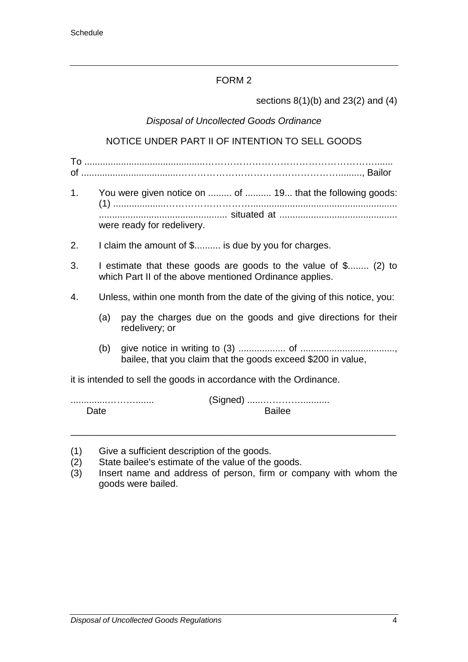sections 8(1)(b) and 23(2) and (4)

# *Disposal of Uncollected Goods Ordinance*

# NOTICE UNDER PART II OF INTENTION TO SELL GOODS

To ..............................................………………………………………………....... of .....................................……………………………………………........., Bailor

- 1. You were given notice on ......... of .......... 19... that the following goods: (1) ....................………………………........................................................ ................................................. situated at ............................................. were ready for redelivery.
- 2. I claim the amount of \$.......... is due by you for charges.
- 3. I estimate that these goods are goods to the value of \$........ (2) to which Part II of the above mentioned Ordinance applies.
- 4. Unless, within one month from the date of the giving of this notice, you:
	- (a) pay the charges due on the goods and give directions for their redelivery; or
	- (b) give notice in writing to (3) .................. of ...................................., bailee, that you claim that the goods exceed \$200 in value,

it is intended to sell the goods in accordance with the Ordinance.

..............………....... (Signed) ......…………........... Date **Bail**ee

- (1) Give a sufficient description of the goods.<br>(2) State bailee's estimate of the value of the
- State bailee's estimate of the value of the goods.
- (3) Insert name and address of person, firm or company with whom the goods were bailed.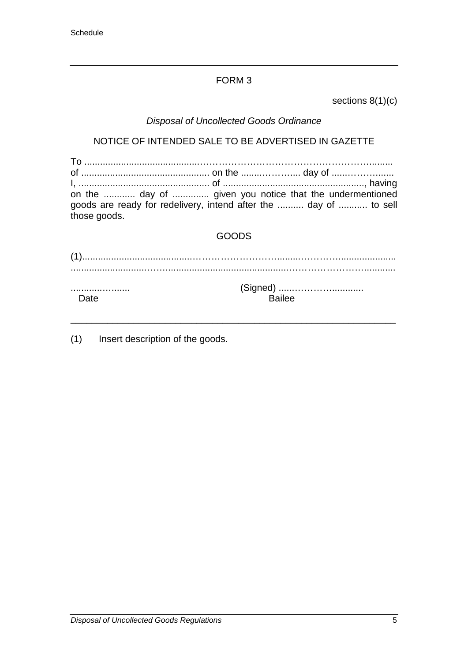sections 8(1)(c)

# *Disposal of Uncollected Goods Ordinance*

# NOTICE OF INTENDED SALE TO BE ADVERTISED IN GAZETTE

| on the  day of  given you notice that the undermentioned<br>goods are ready for redelivery, intend after the  day of  to sell<br>those goods. |  |  |
|-----------------------------------------------------------------------------------------------------------------------------------------------|--|--|

# GOODS

| <br>Date | <b>Bailee</b> |
|----------|---------------|

\_\_\_\_\_\_\_\_\_\_\_\_\_\_\_\_\_\_\_\_\_\_\_\_\_\_\_\_\_\_\_\_\_\_\_\_\_\_\_\_\_\_\_\_\_\_\_\_\_\_\_\_\_\_\_\_\_\_\_\_\_\_

(1) Insert description of the goods.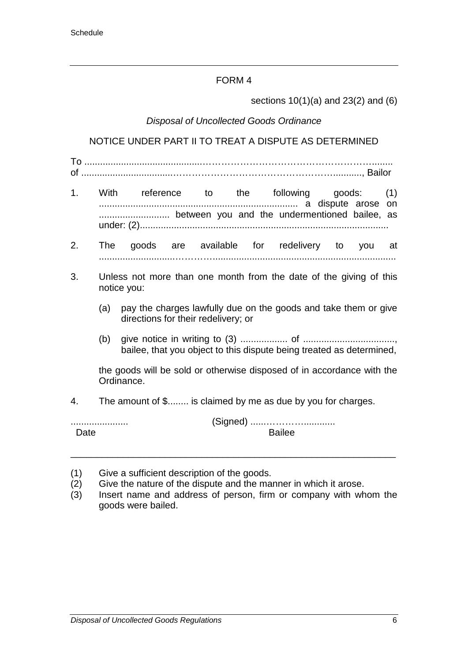sections 10(1)(a) and 23(2) and (6)

### *Disposal of Uncollected Goods Ordinance*

## NOTICE UNDER PART II TO TREAT A DISPUTE AS DETERMINED

To .............................................………………………………………………........ of ...................................……………………………………………..........., Bailor

- 1. With reference to the following goods: (1) ............................................................................ a dispute arose on ........................... between you and the undermentioned bailee, as under: (2)...............................................................................................
- 2. The goods are available for redelivery to you at .............................…………......................................................................
- 3. Unless not more than one month from the date of the giving of this notice you:
	- (a) pay the charges lawfully due on the goods and take them or give directions for their redelivery; or
	- (b) give notice in writing to (3) .................. of ..................................., bailee, that you object to this dispute being treated as determined,

the goods will be sold or otherwise disposed of in accordance with the Ordinance.

4. The amount of \$........ is claimed by me as due by you for charges.

...................... (Signed) ......…………............ Date **Bailte** 

- (1) Give a sufficient description of the goods.
- (2) Give the nature of the dispute and the manner in which it arose.
- (3) Insert name and address of person, firm or company with whom the goods were bailed.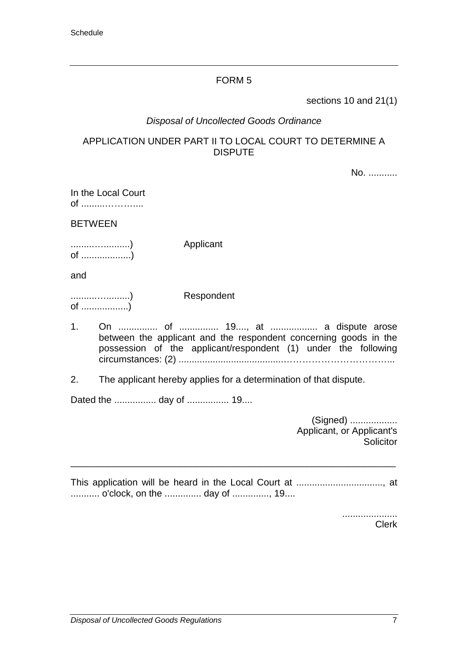sections 10 and 21(1)

## *Disposal of Uncollected Goods Ordinance*

### APPLICATION UNDER PART II TO LOCAL COURT TO DETERMINE A DISPUTE

No. ...........

In the Local Court of .........………....

**BETWEEN** 

.........…..........) Applicant of ...................)

and

..........….........) Respondent of ..................)

- 1. On ............... of ............... 19...., at .................. a dispute arose between the applicant and the respondent concerning goods in the possession of the applicant/respondent (1) under the following circumstances: (2) ........................................……………………………...
- 2. The applicant hereby applies for a determination of that dispute.

Dated the ................ day of ................ 19....

(Signed) .................. Applicant, or Applicant's **Solicitor** 

This application will be heard in the Local Court at ................................., at ........... o'clock, on the .............. day of .............., 19....

\_\_\_\_\_\_\_\_\_\_\_\_\_\_\_\_\_\_\_\_\_\_\_\_\_\_\_\_\_\_\_\_\_\_\_\_\_\_\_\_\_\_\_\_\_\_\_\_\_\_\_\_\_\_\_\_\_\_\_\_\_\_

..................... Clerk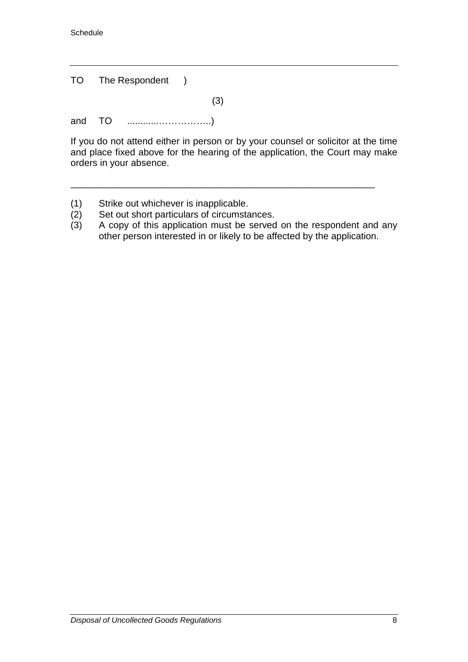Schedule

|  | TO The Respondent )                   |     |
|--|---------------------------------------|-----|
|  |                                       | (3) |
|  |                                       |     |
|  | If you do not attand oithor in norson |     |

If you do not attend either in person or by your counsel or solicitor at the time and place fixed above for the hearing of the application, the Court may make orders in your absence.

- 
- (1) Strike out whichever is inapplicable.<br>(2) Set out short particulars of circumsta
- (2) Set out short particulars of circumstances.<br>(3) A copy of this application must be served A copy of this application must be served on the respondent and any other person interested in or likely to be affected by the application.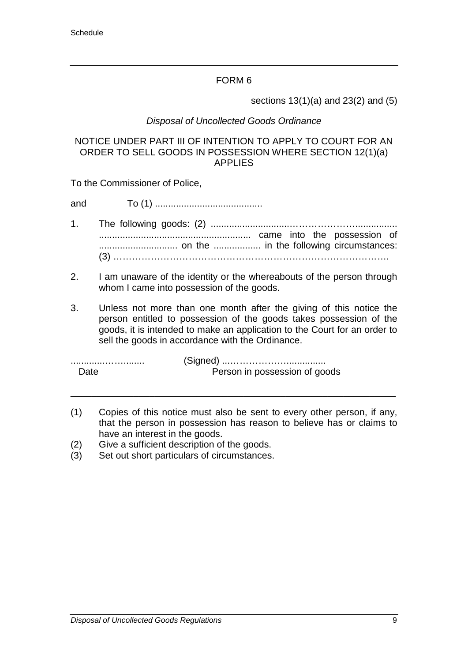sections 13(1)(a) and 23(2) and (5)

## *Disposal of Uncollected Goods Ordinance*

#### NOTICE UNDER PART III OF INTENTION TO APPLY TO COURT FOR AN ORDER TO SELL GOODS IN POSSESSION WHERE SECTION 12(1)(a) APPLIES

To the Commissioner of Police,

and To (1) .........................................

- 1. The following goods: (2) ..............................…………………................ .......................................................... came into the possession of .............................. on the .................. in the following circumstances: (3) …………………………………………………………………………….
- 2. I am unaware of the identity or the whereabouts of the person through whom I came into possession of the goods.
- 3. Unless not more than one month after the giving of this notice the person entitled to possession of the goods takes possession of the goods, it is intended to make an application to the Court for an order to sell the goods in accordance with the Ordinance.

| Date | Person in possession of goods |
|------|-------------------------------|

(1) Copies of this notice must also be sent to every other person, if any, that the person in possession has reason to believe has or claims to have an interest in the goods.

- (2) Give a sufficient description of the goods.<br>(3) Set out short particulars of circumstances
- Set out short particulars of circumstances.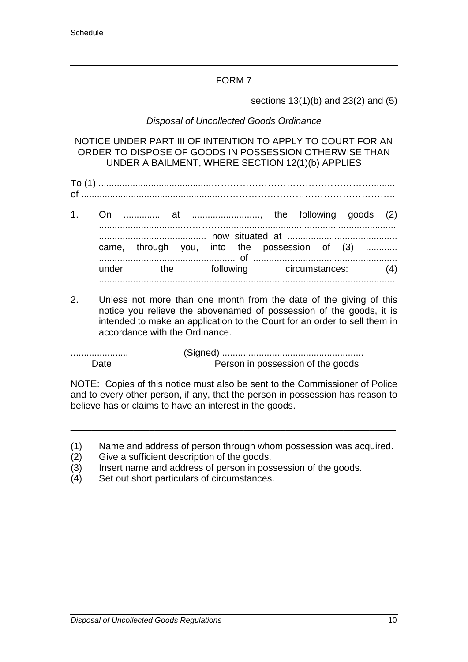sections 13(1)(b) and 23(2) and (5)

## *Disposal of Uncollected Goods Ordinance*

NOTICE UNDER PART III OF INTENTION TO APPLY TO COURT FOR AN ORDER TO DISPOSE OF GOODS IN POSSESSION OTHERWISE THAN UNDER A BAILMENT, WHERE SECTION 12(1)(b) APPLIES

To (1) ...........................................……………………………………………......... of .....................................................………………………………………………..

- 1. On .............. at .........................., the following goods (2) ................................…………................................................................... ......................................... now situated at .......................................... came, through you, into the possession of (3) ............ .................................................... of ....................................................... under the following circumstances: (4) .................................................................................................................
- 2. Unless not more than one month from the date of the giving of this notice you relieve the abovenamed of possession of the goods, it is intended to make an application to the Court for an order to sell them in accordance with the Ordinance.

...................... (Signed) ...................................................... Date **Person** in possession of the goods

NOTE: Copies of this notice must also be sent to the Commissioner of Police and to every other person, if any, that the person in possession has reason to believe has or claims to have an interest in the goods.

(1) Name and address of person through whom possession was acquired.

- (2) Give a sufficient description of the goods.
- (3) Insert name and address of person in possession of the goods.
- (4) Set out short particulars of circumstances.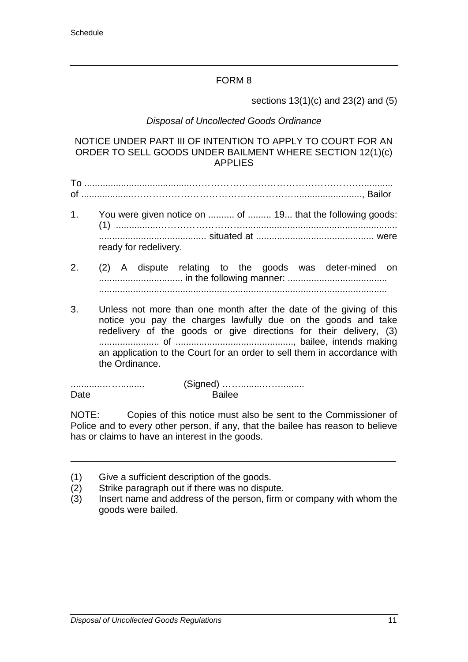sections 13(1)(c) and 23(2) and (5)

## *Disposal of Uncollected Goods Ordinance*

#### NOTICE UNDER PART III OF INTENTION TO APPLY TO COURT FOR AN ORDER TO SELL GOODS UNDER BAILMENT WHERE SECTION 12(1)(c) APPLIES

To .........................................………………………………………………............ of ....................…………………………………………….........................., Bailor

- 1. You were given notice on .......... of ......... 19... that the following goods: (1) ................………………………........................................................... ......................................... situated at ............................................. were ready for redelivery.
- 2. (2) A dispute relating to the goods was deter-mined on ................................ in the following manner: ...................................... ..............................................................................................................
- 3. Unless not more than one month after the date of the giving of this notice you pay the charges lawfully due on the goods and take redelivery of the goods or give directions for their delivery, (3) ....................... of ............................................., bailee, intends making an application to the Court for an order to sell them in accordance with the Ordinance.

............……......... (Signed) ……........……......... Date **Bailee** 

NOTE: Copies of this notice must also be sent to the Commissioner of Police and to every other person, if any, that the bailee has reason to believe has or claims to have an interest in the goods.

- (1) Give a sufficient description of the goods.
- (2) Strike paragraph out if there was no dispute.
- (3) Insert name and address of the person, firm or company with whom the goods were bailed.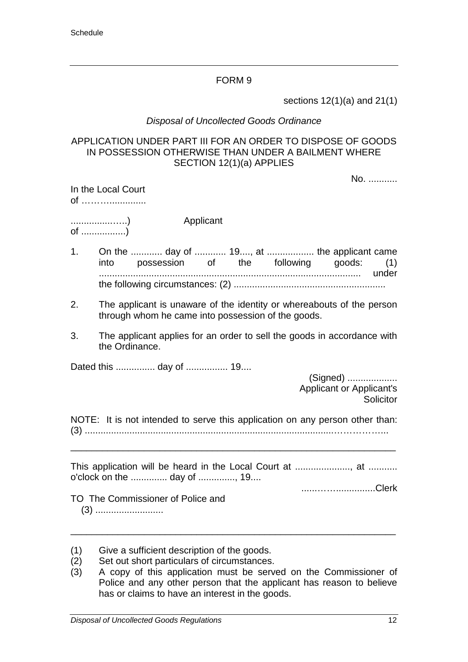sections 12(1)(a) and 21(1)

#### *Disposal of Uncollected Goods Ordinance*

#### APPLICATION UNDER PART III FOR AN ORDER TO DISPOSE OF GOODS IN POSSESSION OTHERWISE THAN UNDER A BAILMENT WHERE SECTION 12(1)(a) APPLIES

No. ...........

| In the Local Court |  |
|--------------------|--|
| of                 |  |

................…..) Applicant of .................)

- 1. On the ............ day of ............ 19...., at .................. the applicant came into possession of the following goods: (1) .................................................................................................... under the following circumstances: (2) ..........................................................
- 2. The applicant is unaware of the identity or whereabouts of the person through whom he came into possession of the goods.
- 3. The applicant applies for an order to sell the goods in accordance with the Ordinance.

Dated this ............... day of ................ 19....

(Signed) ................... Applicant or Applicant's **Solicitor** 

NOTE: It is not intended to serve this application on any person other than: (3) ...............................................................................................……………...

\_\_\_\_\_\_\_\_\_\_\_\_\_\_\_\_\_\_\_\_\_\_\_\_\_\_\_\_\_\_\_\_\_\_\_\_\_\_\_\_\_\_\_\_\_\_\_\_\_\_\_\_\_\_\_\_\_\_\_\_\_\_

This application will be heard in the Local Court at ....................., at ........... o'clock on the .............. day of .............., 19.... ......……...............Clerk

- (1) Give a sufficient description of the goods.
- (2) Set out short particulars of circumstances.
- (3) A copy of this application must be served on the Commissioner of Police and any other person that the applicant has reason to believe has or claims to have an interest in the goods.

TO The Commissioner of Police and (3) ..........................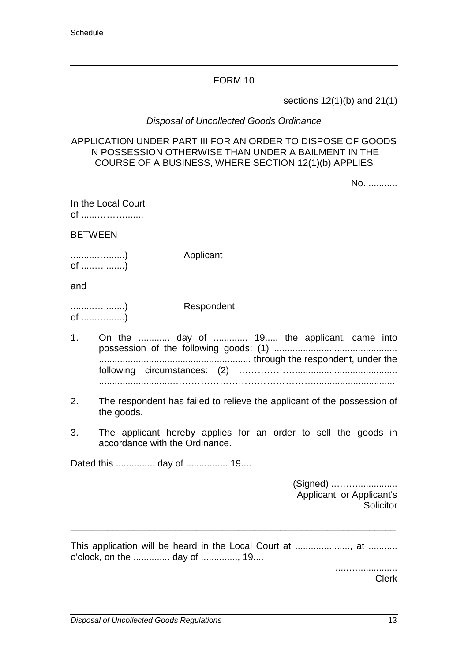sections 12(1)(b) and 21(1)

#### *Disposal of Uncollected Goods Ordinance*

#### APPLICATION UNDER PART III FOR AN ORDER TO DISPOSE OF GOODS IN POSSESSION OTHERWISE THAN UNDER A BAILMENT IN THE COURSE OF A BUSINESS, WHERE SECTION 12(1)(b) APPLIES

No. ...........

In the Local Court of ......……….......

BETWEEN

...........…......) Applicant of .....…........)

and

.........…........) Respondent of ......….......)

- 1. On the ............ day of ............. 19...., the applicant, came into possession of the following goods: (1) ............................................... .......................................................... through the respondent, under the following circumstances: (2) ………………....................................... ............................………………………………………...............................
- 2. The respondent has failed to relieve the applicant of the possession of the goods.
- 3. The applicant hereby applies for an order to sell the goods in accordance with the Ordinance.

Dated this ............... day of ................ 19....

(Signed) ..……................ Applicant, or Applicant's Solicitor

This application will be heard in the Local Court at ....................., at ........... o'clock, on the .............. day of .............., 19....

\_\_\_\_\_\_\_\_\_\_\_\_\_\_\_\_\_\_\_\_\_\_\_\_\_\_\_\_\_\_\_\_\_\_\_\_\_\_\_\_\_\_\_\_\_\_\_\_\_\_\_\_\_\_\_\_\_\_\_\_\_\_

.....…............... Clerk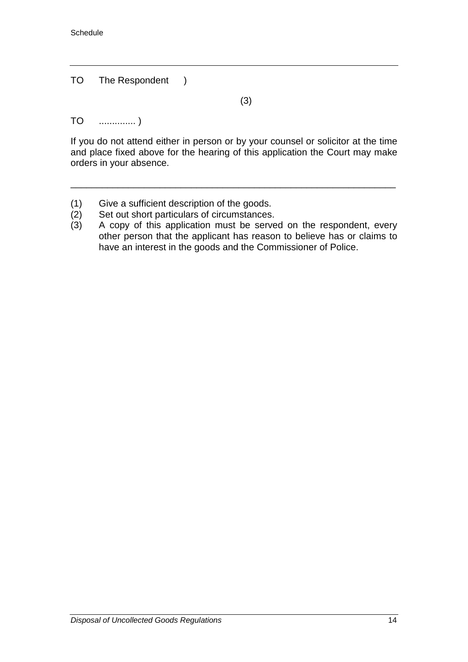TO The Respondent )

(3)

TO .............. )

If you do not attend either in person or by your counsel or solicitor at the time and place fixed above for the hearing of this application the Court may make orders in your absence.

- (1) Give a sufficient description of the goods.<br>(2) Set out short particulars of circumstances.
- 
- (2) Set out short particulars of circumstances.<br>(3) A copy of this application must be serve A copy of this application must be served on the respondent, every other person that the applicant has reason to believe has or claims to have an interest in the goods and the Commissioner of Police.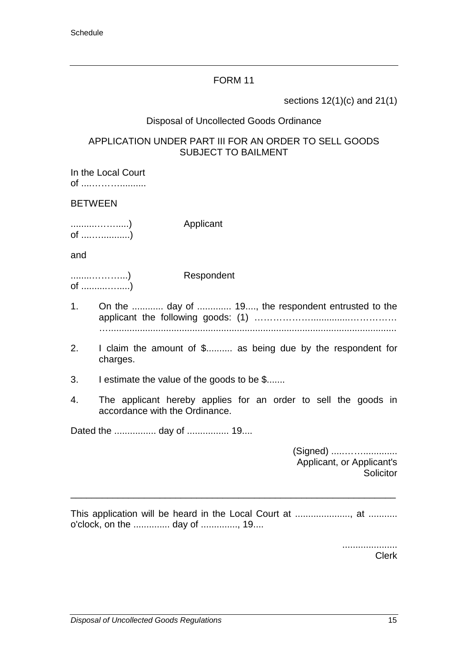sections 12(1)(c) and 21(1)

### Disposal of Uncollected Goods Ordinance

### APPLICATION UNDER PART III FOR AN ORDER TO SELL GOODS SUBJECT TO BAILMENT

In the Local Court of ....………..........

### BETWEEN

..........…….....) Applicant of ....…...........)

and

........………...) Respondent of ..........….....)

- 1. On the ............ day of ............. 19...., the respondent entrusted to the applicant the following goods: (1) ………………...............…………… …..............................................................................................................
- 2. I claim the amount of \$.......... as being due by the respondent for charges.
- 3. I estimate the value of the goods to be \$.......
- 4. The applicant hereby applies for an order to sell the goods in accordance with the Ordinance.

Dated the ................ day of ................ 19....

(Signed) .....……............. Applicant, or Applicant's **Solicitor** 

This application will be heard in the Local Court at ....................., at ........... o'clock, on the .............. day of .............., 19....

\_\_\_\_\_\_\_\_\_\_\_\_\_\_\_\_\_\_\_\_\_\_\_\_\_\_\_\_\_\_\_\_\_\_\_\_\_\_\_\_\_\_\_\_\_\_\_\_\_\_\_\_\_\_\_\_\_\_\_\_\_\_

..................... Clerk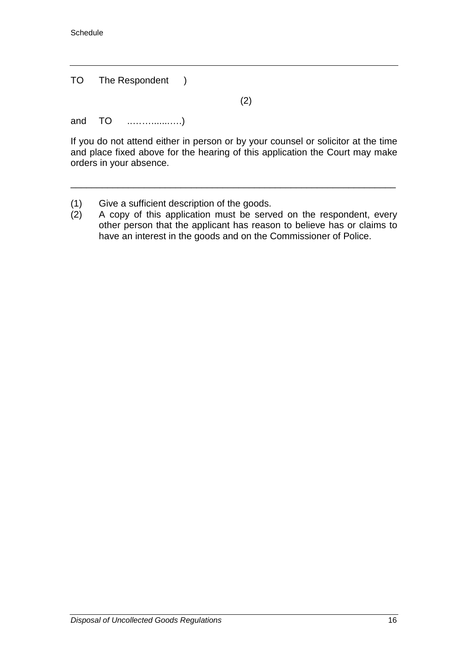TO The Respondent )

(2)

and TO ..…….......….)

If you do not attend either in person or by your counsel or solicitor at the time and place fixed above for the hearing of this application the Court may make orders in your absence.

- (1) Give a sufficient description of the goods.<br>(2) A copy of this application must be serve
- A copy of this application must be served on the respondent, every other person that the applicant has reason to believe has or claims to have an interest in the goods and on the Commissioner of Police.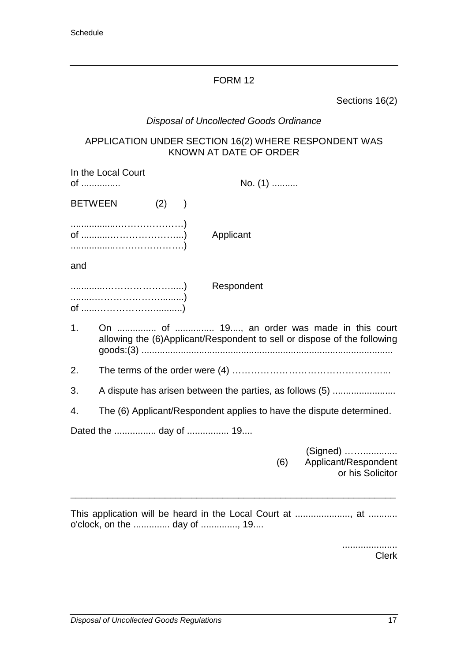Sections 16(2)

# *Disposal of Uncollected Goods Ordinance*

## APPLICATION UNDER SECTION 16(2) WHERE RESPONDENT WAS KNOWN AT DATE OF ORDER

| of             | In the Local Court    |     |           |            | No. (1) |                                                                                                                         |
|----------------|-----------------------|-----|-----------|------------|---------|-------------------------------------------------------------------------------------------------------------------------|
| <b>BETWEEN</b> |                       | (2) | $\lambda$ |            |         |                                                                                                                         |
|                |                       |     |           | Applicant  |         |                                                                                                                         |
| and            |                       |     |           |            |         |                                                                                                                         |
|                |                       |     |           | Respondent |         |                                                                                                                         |
| 1 <sub>1</sub> |                       |     |           |            |         | On  of  19, an order was made in this court<br>allowing the (6)Applicant/Respondent to sell or dispose of the following |
| 2.             |                       |     |           |            |         |                                                                                                                         |
| 3.             |                       |     |           |            |         | A dispute has arisen between the parties, as follows (5)                                                                |
| 4.             |                       |     |           |            |         | The (6) Applicant/Respondent applies to have the dispute determined.                                                    |
|                | Dated the  day of  19 |     |           |            |         |                                                                                                                         |
|                |                       |     |           |            | (6)     | (Signed)<br>Applicant/Respondent<br>or his Solicitor                                                                    |
|                |                       |     |           |            |         |                                                                                                                         |

..................... Clerk

o'clock, on the .............. day of .............., 19....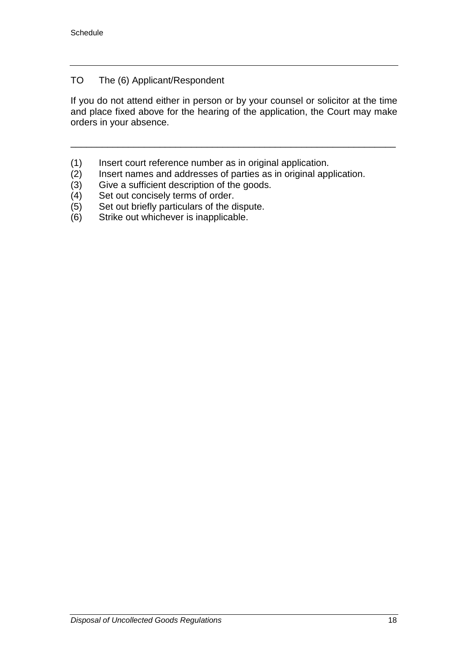## TO The (6) Applicant/Respondent

If you do not attend either in person or by your counsel or solicitor at the time and place fixed above for the hearing of the application, the Court may make orders in your absence.

- 
- (1) Insert court reference number as in original application.<br>(2) Insert names and addresses of parties as in original app (2) Insert names and addresses of parties as in original application.<br>(3) Give a sufficient description of the goods.
- (3) Give a sufficient description of the goods.<br>(4) Set out concisely terms of order.
- 
- (4) Set out concisely terms of order.<br>(5) Set out briefly particulars of the c (5) Set out briefly particulars of the dispute.<br>(6) Strike out whichever is inapplicable.
- Strike out whichever is inapplicable.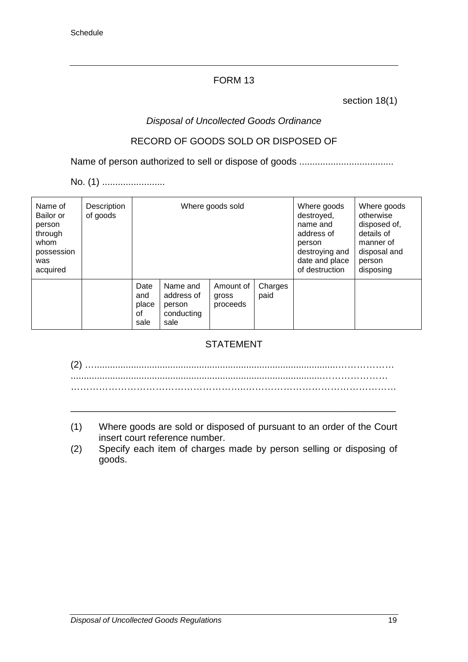section 18(1)

# *Disposal of Uncollected Goods Ordinance*

# RECORD OF GOODS SOLD OR DISPOSED OF

Name of person authorized to sell or dispose of goods ....................................

No. (1) .........................

| Name of<br>Bailor or<br>person<br>through<br>whom<br>possession<br>was<br>acquired | Description<br>of goods |                                    |                                                        | Where goods sold               | Where goods<br>destroyed,<br>name and<br>address of<br>person<br>destroying and<br>date and place<br>of destruction | Where goods<br>otherwise<br>disposed of,<br>details of<br>manner of<br>disposal and<br>person<br>disposing |  |
|------------------------------------------------------------------------------------|-------------------------|------------------------------------|--------------------------------------------------------|--------------------------------|---------------------------------------------------------------------------------------------------------------------|------------------------------------------------------------------------------------------------------------|--|
|                                                                                    |                         | Date<br>and<br>place<br>οf<br>sale | Name and<br>address of<br>person<br>conducting<br>sale | Amount of<br>gross<br>proceeds | Charges<br>paid                                                                                                     |                                                                                                            |  |

# STATEMENT

(2) ….............................................................................................……………… ................................................................................................………………… ………………………………………………..…………………………………………

(1) Where goods are sold or disposed of pursuant to an order of the Court insert court reference number.

\_\_\_\_\_\_\_\_\_\_\_\_\_\_\_\_\_\_\_\_\_\_\_\_\_\_\_\_\_\_\_\_\_\_\_\_\_\_\_\_\_\_\_\_\_\_\_\_\_\_\_\_\_\_\_\_\_\_\_\_\_\_

(2) Specify each item of charges made by person selling or disposing of goods.